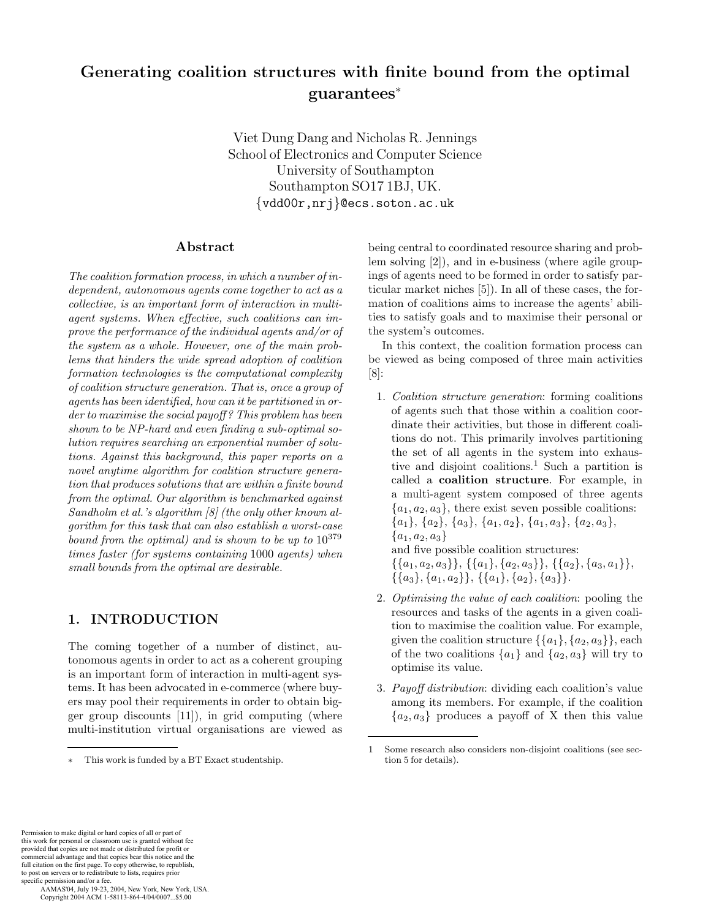# **Generating coalition structures with finite bound from the optimal guarantees**<sup>∗</sup>

Viet Dung Dang and Nicholas R. Jennings School of Electronics and Computer Science University of Southampton Southampton SO17 1BJ, UK. {vdd00r,nrj}@ecs.soton.ac.uk

#### **Abstract**

*The coalition formation process, in which a number of independent, autonomous agents come together to act as a collective, is an important form of interaction in multiagent systems. When effective, such coalitions can improve the performance of the individual agents and/or of the system as a whole. However, one of the main problems that hinders the wide spread adoption of coalition formation technologies is the computational complexity of coalition structure generation. That is, once a group of agents has been identified, how can it be partitioned in order to maximise the social payoff ? This problem has been shown to be NP-hard and even finding a sub-optimal solution requires searching an exponential number of solutions. Against this background, this paper reports on a novel anytime algorithm for coalition structure generation that produces solutions that are within a finite bound from the optimal. Our algorithm is benchmarked against Sandholm et al.'s algorithm [8] (the only other known algorithm for this task that can also establish a worst-case bound from the optimal) and is shown to be up to* 10<sup>379</sup> *times faster (for systems containing* 1000 *agents) when small bounds from the optimal are desirable.*

## **1. INTRODUCTION**

The coming together of a number of distinct, autonomous agents in order to act as a coherent grouping is an important form of interaction in multi-agent systems. It has been advocated in e-commerce (where buyers may pool their requirements in order to obtain bigger group discounts [11]), in grid computing (where multi-institution virtual organisations are viewed as

being central to coordinated resource sharing and problem solving [2]), and in e-business (where agile groupings of agents need to be formed in order to satisfy particular market niches [5]). In all of these cases, the formation of coalitions aims to increase the agents' abilities to satisfy goals and to maximise their personal or the system's outcomes.

In this context, the coalition formation process can be viewed as being composed of three main activities [8]:

- 1. *Coalition structure generation*: forming coalitions of agents such that those within a coalition coordinate their activities, but those in different coalitions do not. This primarily involves partitioning the set of all agents in the system into exhaustive and disjoint coalitions.<sup>1</sup> Such a partition is called a **coalition structure**. For example, in a multi-agent system composed of three agents  ${a_1, a_2, a_3}$ , there exist seven possible coalitions:  ${a_1}, {a_2}, {a_3}, {a_1, a_2}, {a_1, a_3}, {a_2, a_3},$  ${a_1, a_2, a_3}$ and five possible coalition structures:  $\{\{a_1, a_2, a_3\}\}, \{\{a_1\}, \{a_2, a_3\}\}, \{\{a_2\}, \{a_3, a_1\}\},\$  $\{\{a_3\}, \{a_1, a_2\}\}, \{\{a_1\}, \{a_2\}, \{a_3\}\}.$
- 2. *Optimising the value of each coalition*: pooling the resources and tasks of the agents in a given coalition to maximise the coalition value. For example, given the coalition structure  $\{\{a_1\}, \{a_2, a_3\}\}\$ , each of the two coalitions  $\{a_1\}$  and  $\{a_2, a_3\}$  will try to optimise its value.
- 3. *Payoff distribution*: dividing each coalition's value among its members. For example, if the coalition  ${a_2, a_3}$  produces a payoff of X then this value

This work is funded by a BT Exact studentship.

<sup>1</sup> Some research also considers non-disjoint coalitions (see section 5 for details).

Permission to make digital or hard copies of all or part of this work for personal or classroom use is granted without fee provided that copies are not made or distributed for profit or commercial advantage and that copies bear this notice and the full citation on the first page. To copy otherwise, to republish, to post on servers or to redistribute to lists, requires prior specific permission and/or a fee.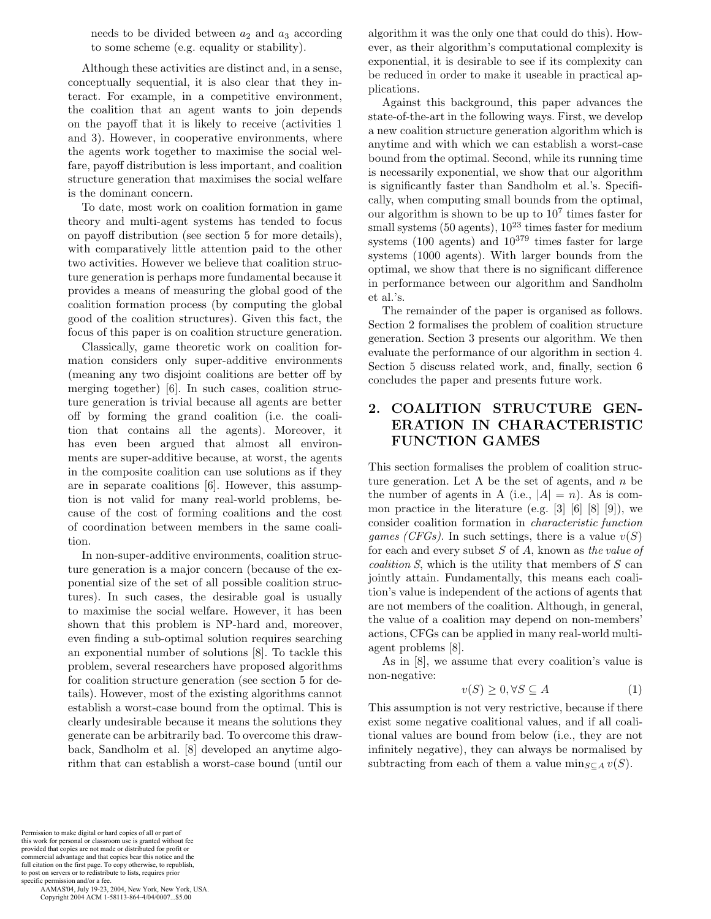needs to be divided between  $a_2$  and  $a_3$  according to some scheme (e.g. equality or stability).

Although these activities are distinct and, in a sense, conceptually sequential, it is also clear that they interact. For example, in a competitive environment, the coalition that an agent wants to join depends on the payoff that it is likely to receive (activities 1 and 3). However, in cooperative environments, where the agents work together to maximise the social welfare, payoff distribution is less important, and coalition structure generation that maximises the social welfare is the dominant concern.

To date, most work on coalition formation in game theory and multi-agent systems has tended to focus on payoff distribution (see section 5 for more details), with comparatively little attention paid to the other two activities. However we believe that coalition structure generation is perhaps more fundamental because it provides a means of measuring the global good of the coalition formation process (by computing the global good of the coalition structures). Given this fact, the focus of this paper is on coalition structure generation.

Classically, game theoretic work on coalition formation considers only super-additive environments (meaning any two disjoint coalitions are better off by merging together) [6]. In such cases, coalition structure generation is trivial because all agents are better off by forming the grand coalition (i.e. the coalition that contains all the agents). Moreover, it has even been argued that almost all environments are super-additive because, at worst, the agents in the composite coalition can use solutions as if they are in separate coalitions [6]. However, this assumption is not valid for many real-world problems, because of the cost of forming coalitions and the cost of coordination between members in the same coalition.

In non-super-additive environments, coalition structure generation is a major concern (because of the exponential size of the set of all possible coalition structures). In such cases, the desirable goal is usually to maximise the social welfare. However, it has been shown that this problem is NP-hard and, moreover, even finding a sub-optimal solution requires searching an exponential number of solutions [8]. To tackle this problem, several researchers have proposed algorithms for coalition structure generation (see section 5 for details). However, most of the existing algorithms cannot establish a worst-case bound from the optimal. This is clearly undesirable because it means the solutions they generate can be arbitrarily bad. To overcome this drawback, Sandholm et al. [8] developed an anytime algorithm that can establish a worst-case bound (until our

algorithm it was the only one that could do this). However, as their algorithm's computational complexity is exponential, it is desirable to see if its complexity can be reduced in order to make it useable in practical applications.

Against this background, this paper advances the state-of-the-art in the following ways. First, we develop a new coalition structure generation algorithm which is anytime and with which we can establish a worst-case bound from the optimal. Second, while its running time is necessarily exponential, we show that our algorithm is significantly faster than Sandholm et al.'s. Specifically, when computing small bounds from the optimal, our algorithm is shown to be up to  $10<sup>7</sup>$  times faster for small systems (50 agents),  $10^{23}$  times faster for medium systems (100 agents) and  $10^{379}$  times faster for large systems (1000 agents). With larger bounds from the optimal, we show that there is no significant difference in performance between our algorithm and Sandholm et al.'s.

The remainder of the paper is organised as follows. Section 2 formalises the problem of coalition structure generation. Section 3 presents our algorithm. We then evaluate the performance of our algorithm in section 4. Section 5 discuss related work, and, finally, section 6 concludes the paper and presents future work.

## **2. COALITION STRUCTURE GEN-ERATION IN CHARACTERISTIC FUNCTION GAMES**

This section formalises the problem of coalition structure generation. Let A be the set of agents, and  $n$  be the number of agents in A (i.e.,  $|A| = n$ ). As is common practice in the literature (e.g.  $[3]$   $[6]$   $[8]$   $[9]$ ), we consider coalition formation in *characteristic function games (CFGs)*. In such settings, there is a value  $v(S)$ for each and every subset S of A, known as *the value of coalition S*, which is the utility that members of S can jointly attain. Fundamentally, this means each coalition's value is independent of the actions of agents that are not members of the coalition. Although, in general, the value of a coalition may depend on non-members' actions, CFGs can be applied in many real-world multiagent problems [8].

As in [8], we assume that every coalition's value is non-negative:

$$
v(S) \ge 0, \forall S \subseteq A \tag{1}
$$

This assumption is not very restrictive, because if there exist some negative coalitional values, and if all coalitional values are bound from below (i.e., they are not infinitely negative), they can always be normalised by subtracting from each of them a value  $\min_{S \subset A} v(S)$ .

Permission to make digital or hard copies of all or part of this work for personal or classroom use is granted without fee provided that copies are not made or distributed for profit or commercial advantage and that copies bear this notice and the full citation on the first page. To copy otherwise, to republish, to post on servers or to redistribute to lists, requires prior specific permission and/or a fee.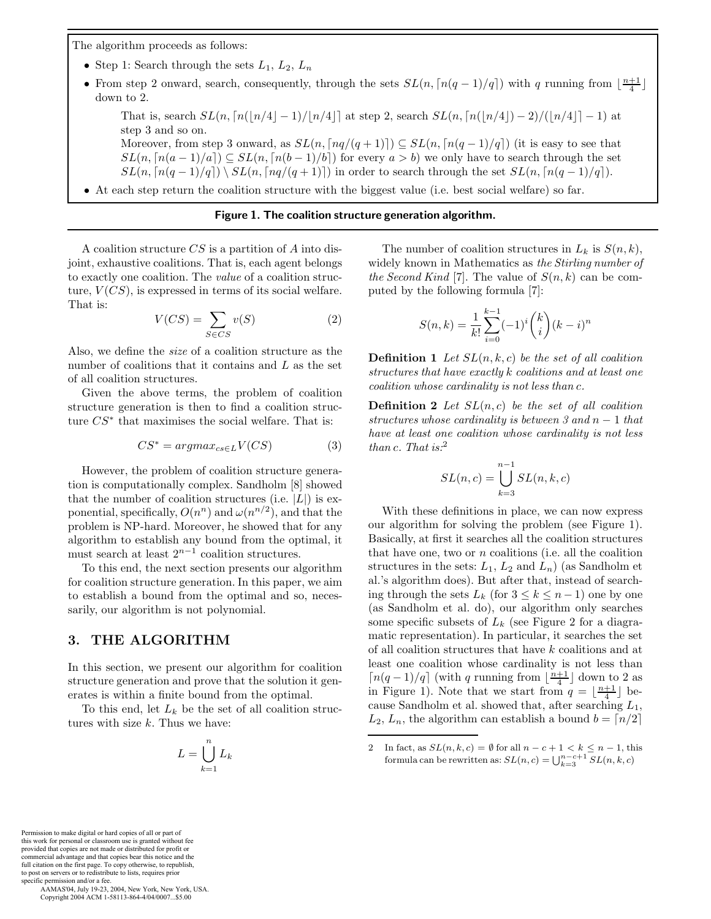The algorithm proceeds as follows:

- Step 1: Search through the sets  $L_1$ ,  $L_2$ ,  $L_n$
- From step 2 onward, search, consequently, through the sets  $SL(n, \lceil n(q-1)/q \rceil)$  with q running from  $\lfloor \frac{n+1}{4} \rfloor$ down to 2.

That is, search  $SL(n, \lceil n(\lfloor n/4 \rfloor - 1)/\lfloor n/4 \rfloor]$  at step 2, search  $SL(n, \lceil n(\lfloor n/4 \rfloor - 2)/(\lfloor n/4 \rfloor - 1)$  at step 3 and so on.

Moreover, from step 3 onward, as  $SL(n, \lceil nq/(q+1) \rceil) \subseteq SL(n, \lceil n(q-1)/q \rceil)$  (it is easy to see that  $SL(n, \lceil n(a-1)/a \rceil) \subseteq SL(n, \lceil n(b-1)/b \rceil)$  for every  $a > b$ ) we only have to search through the set  $SL(n, \lceil n(q-1)/q \rceil) \setminus SL(n, \lceil nq/(q+1) \rceil)$  in order to search through the set  $SL(n, \lceil n(q-1)/q \rceil)$ .

• At each step return the coalition structure with the biggest value (i.e. best social welfare) so far.

#### **Figure 1. The coalition structure generation algorithm.**

A coalition structure  $CS$  is a partition of A into disjoint, exhaustive coalitions. That is, each agent belongs to exactly one coalition. The *value* of a coalition structure,  $V(CS)$ , is expressed in terms of its social welfare. That is:

$$
V(CS) = \sum_{S \in CS} v(S) \tag{2}
$$

Also, we define the *size* of a coalition structure as the number of coalitions that it contains and  $L$  as the set of all coalition structures.

Given the above terms, the problem of coalition structure generation is then to find a coalition structure  $CS^*$  that maximises the social welfare. That is:

$$
CS^* = argmax_{cs \in L} V(CS)
$$
 (3)

However, the problem of coalition structure generation is computationally complex. Sandholm [8] showed that the number of coalition structures (i.e.  $|L|$ ) is exponential, specifically,  $O(n^n)$  and  $\omega(n^{n/2})$ , and that the problem is NP-hard. Moreover, he showed that for any algorithm to establish any bound from the optimal, it must search at least  $2^{n-1}$  coalition structures.

To this end, the next section presents our algorithm for coalition structure generation. In this paper, we aim to establish a bound from the optimal and so, necessarily, our algorithm is not polynomial.

#### **3. THE ALGORITHM**

In this section, we present our algorithm for coalition structure generation and prove that the solution it generates is within a finite bound from the optimal.

To this end, let  $L_k$  be the set of all coalition structures with size  $k$ . Thus we have:

$$
L = \bigcup_{k=1}^{n} L_k
$$

The number of coalition structures in  $L_k$  is  $S(n, k)$ , widely known in Mathematics as *the Stirling number of the Second Kind* [7]. The value of  $S(n, k)$  can be computed by the following formula [7]:

$$
S(n,k) = \frac{1}{k!} \sum_{i=0}^{k-1} (-1)^i {k \choose i} (k-i)^n
$$

**Definition 1** *Let* SL(n, k, c) *be the set of all coalition structures that have exactly* k *coalitions and at least one coalition whose cardinality is not less than* c*.*

**Definition 2** *Let* SL(n, c) *be the set of all coalition structures whose cardinality is between 3 and* n − 1 *that have at least one coalition whose cardinality is not less than* c*. That is:*<sup>2</sup>

$$
SL(n,c) = \bigcup_{k=3}^{n-1} SL(n,k,c)
$$

With these definitions in place, we can now express our algorithm for solving the problem (see Figure 1). Basically, at first it searches all the coalition structures that have one, two or  $n$  coalitions (i.e. all the coalition structures in the sets:  $L_1$ ,  $L_2$  and  $L_n$ ) (as Sandholm et al.'s algorithm does). But after that, instead of searching through the sets  $L_k$  (for  $3 \leq k \leq n-1$ ) one by one (as Sandholm et al. do), our algorithm only searches some specific subsets of  $L_k$  (see Figure 2 for a diagramatic representation). In particular, it searches the set of all coalition structures that have k coalitions and at least one coalition whose cardinality is not less than  $\lceil n(q-1)/q \rceil$  (with q running from  $\lfloor \frac{n+1}{4} \rfloor$  down to 2 as in Figure 1). Note that we start from  $q = \lfloor \frac{n+1}{4} \rfloor$  because Sandholm et al. showed that, after searching  $L_1$ ,  $L_2, L_n$ , the algorithm can establish a bound  $b = \lfloor n/2 \rfloor$ 

Permission to make digital or hard copies of all or part of this work for personal or classroom use is granted without fee provided that copies are not made or distributed for profit or commercial advantage and that copies bear this notice and the full citation on the first page. To copy otherwise, to republish, to post on servers or to redistribute to lists, requires prior specific permission and/or a fee.

<sup>2</sup> In fact, as  $SL(n, k, c) = \emptyset$  for all  $n - c + 1 < k \leq n - 1$ , this formula can be rewritten as:  $SL(n, c) = \bigcup_{k=3}^{n-c+1} SL(n, k, c)$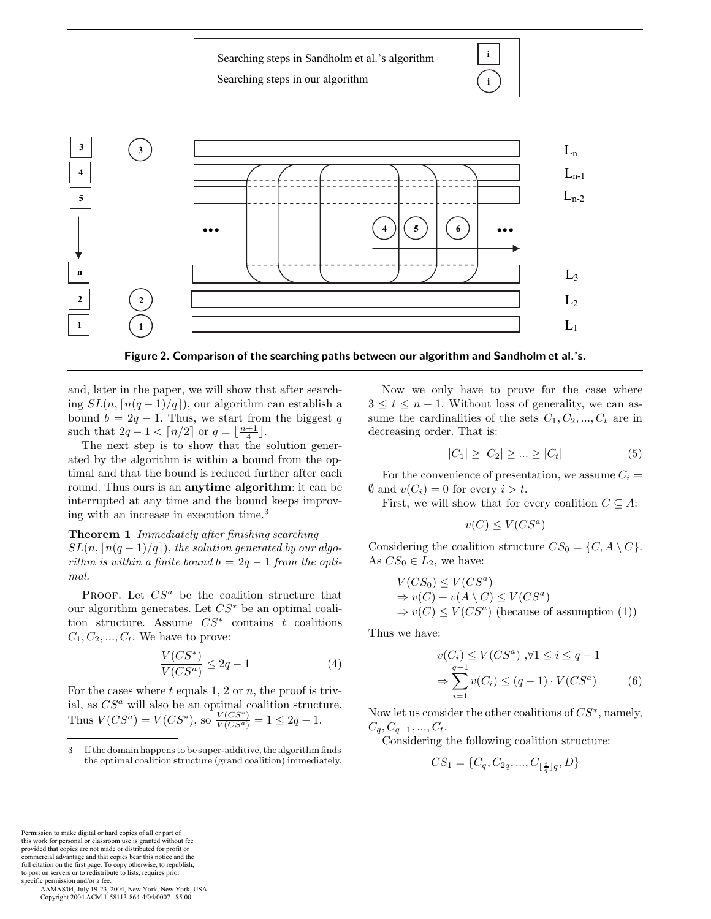**...**  $\begin{bmatrix} 1 & 1 & 1 \\ 1 & 1 & 1 \\ 1 & 1 & 1 \end{bmatrix}$  (a) (b) (c) (c) **2 4 5 n 1 3 4**  $L<sub>2</sub>$  $L<sub>3</sub>$  $L_{n-1}$  $L_n$  $L_1$  $L_{n-2}$  $5$  ) | (6 Searching steps in Sandholm et al.'s algorithm Searching steps in our algorithm  $\int$  **i i 3 2 1**

**Figure 2. Comparison of the searching paths between our algorithm and Sandholm et al.'s.**

and, later in the paper, we will show that after searching  $SL(n, \lceil n(q-1)/q \rceil)$ , our algorithm can establish a bound  $b = 2q - 1$ . Thus, we start from the biggest q such that  $2q - 1 < \lceil n/2 \rceil$  or  $q = \lfloor \frac{n+1}{4} \rfloor$ .

The next step is to show that the solution generated by the algorithm is within a bound from the optimal and that the bound is reduced further after each round. Thus ours is an **anytime algorithm**: it can be interrupted at any time and the bound keeps improving with an increase in execution time.<sup>3</sup>

**Theorem 1** *Immediately after finishing searching*  $SL(n, \lceil n(q-1)/q \rceil)$ , the solution generated by our algo*rithm is within a finite bound*  $b = 2q - 1$  *from the optimal.*

PROOF. Let  $CS^a$  be the coalition structure that our algorithm generates. Let  $CS^*$  be an optimal coalition structure. Assume  $CS^*$  contains  $t$  coalitions  $C_1, C_2, ..., C_t$ . We have to prove:

$$
\frac{V(CS^*)}{V(CS^a)} \le 2q - 1\tag{4}
$$

For the cases where  $t$  equals 1, 2 or  $n$ , the proof is trivial, as CS*<sup>a</sup>* will also be an optimal coalition structure. Thus  $V(CS^a) = V(CS^*),$  so  $\frac{V(CS^*)}{V(CS^a)} = 1 \leq 2q - 1.$ 

Now we only have to prove for the case where  $3 \leq t \leq n-1$ . Without loss of generality, we can assume the cardinalities of the sets  $C_1, C_2, ..., C_t$  are in decreasing order. That is:

$$
|C_1| \ge |C_2| \ge \dots \ge |C_t| \tag{5}
$$

For the convenience of presentation, we assume  $C_i$  =  $\emptyset$  and  $v(C_i) = 0$  for every  $i > t$ .

First, we will show that for every coalition  $C \subseteq A$ :

$$
v(C) \le V(CS^a)
$$

Considering the coalition structure  $CS_0 = \{C, A \setminus C\}.$ As  $CS_0 \in L_2$ , we have:

$$
V(CS_0) \le V(CS^a)
$$
  
\n $\Rightarrow v(C) + v(A \setminus C) \le V(CS^a)$   
\n $\Rightarrow v(C) \le V(CS^a)$  (because of assumption (1))

Thus we have:

$$
v(C_i) \le V(CS^a) , \forall 1 \le i \le q-1
$$
  

$$
\Rightarrow \sum_{i=1}^{q-1} v(C_i) \le (q-1) \cdot V(CS^a)
$$
 (6)

Now let us consider the other coalitions of  $CS^*$ , namely,  $C_q, C_{q+1}, ..., C_t.$ 

Considering the following coalition structure:

$$
CS_1 = \{C_q, C_{2q}, ..., C_{\lfloor \frac{t}{q} \rfloor q}, D\}
$$

Permission to make digital or hard copies of all or part of this work for personal or classroom use is granted without fee provided that copies are not made or distributed for profit or commercial advantage and that copies bear this notice and the full citation on the first page. To copy otherwise, to republish, to post on servers or to redistribute to lists, requires prior specific permission and/or a fee.

<sup>3</sup> If the domain happens to be super-additive, the algorithm finds the optimal coalition structure (grand coalition) immediately.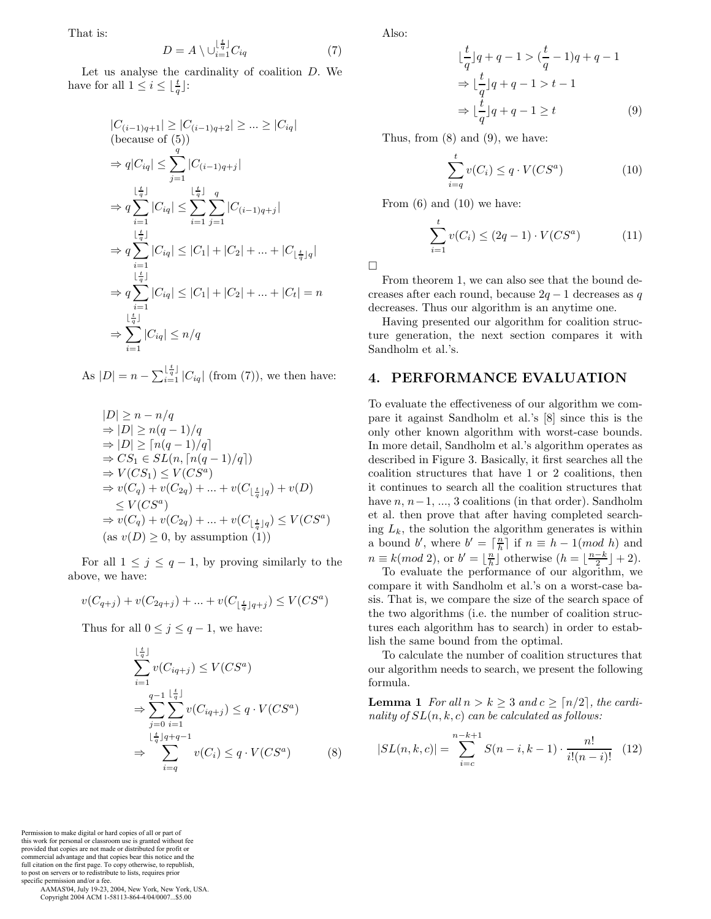That is:

$$
D = A \setminus \cup_{i=1}^{\lfloor \frac{t}{q} \rfloor} C_{iq} \tag{7}
$$

Let us analyse the cardinality of coalition D. We have for all  $1 \leq i \leq \lfloor \frac{t}{q} \rfloor$ :

$$
|C_{(i-1)q+1}| \geq |C_{(i-1)q+2}| \geq \dots \geq |C_{iq}|
$$
  
\n(because of (5))  
\n
$$
\Rightarrow q|C_{iq}| \leq \sum_{j=1}^{q} |C_{(i-1)q+j}|
$$
  
\n
$$
\Rightarrow q \sum_{i=1}^{\lfloor \frac{t}{q} \rfloor} |C_{iq}| \leq \sum_{i=1}^{\lfloor \frac{t}{q} \rfloor} \sum_{j=1}^{q} |C_{(i-1)q+j}|
$$
  
\n
$$
\Rightarrow q \sum_{i=1}^{\lfloor \frac{t}{q} \rfloor} |C_{iq}| \leq |C_1| + |C_2| + \dots + |C_{\lfloor \frac{t}{q} \rfloor q}|
$$
  
\n
$$
\Rightarrow q \sum_{i=1}^{\lfloor \frac{t}{q} \rfloor} |C_{iq}| \leq |C_1| + |C_2| + \dots + |C_t| = n
$$
  
\n
$$
\Rightarrow \sum_{i=1}^{\lfloor \frac{t}{q} \rfloor} |C_{iq}| \leq n/q
$$

As  $|D| = n - \sum_{i=1}^{\lfloor \frac{t}{q} \rfloor} |C_{iq}|$  (from (7)), we then have:

$$
|D| \ge n - n/q
$$
  
\n
$$
\Rightarrow |D| \ge n(q - 1)/q
$$
  
\n
$$
\Rightarrow |D| \ge \lceil n(q - 1)/q \rceil
$$
  
\n
$$
\Rightarrow CS_1 \in SL(n, \lceil n(q - 1)/q \rceil)
$$
  
\n
$$
\Rightarrow V(CS_1) \le V(CS^a)
$$
  
\n
$$
\Rightarrow v(C_q) + v(C_{2q}) + \dots + v(C_{\lfloor \frac{t}{q} \rfloor q}) + v(D)
$$
  
\n
$$
\le V(CS^a)
$$
  
\n
$$
\Rightarrow v(C_q) + v(C_{2q}) + \dots + v(C_{\lfloor \frac{t}{q} \rfloor q}) \le V(CS^a)
$$
  
\n(as  $v(D) \ge 0$ , by assumption (1))

For all  $1 \leq j \leq q-1$ , by proving similarly to the above, we have:

$$
v(C_{q+j}) + v(C_{2q+j}) + \dots + v(C_{\lfloor \frac{t}{q} \rfloor q+j}) \le V(CS^a)
$$

Thus for all  $0 \leq j \leq q-1$ , we have:

$$
\sum_{i=1}^{\lfloor \frac{t}{q} \rfloor} v(C_{iq+j}) \le V(CS^a)
$$
\n
$$
\Rightarrow \sum_{j=0}^{q-1} \sum_{i=1}^{\lfloor \frac{t}{q} \rfloor} v(C_{iq+j}) \le q \cdot V(CS^a)
$$
\n
$$
\Rightarrow \sum_{i=q}^{\lfloor \frac{t}{q} \rfloor q + q - 1} v(C_i) \le q \cdot V(CS^a)
$$
\n(8)

Also:

$$
\lfloor \frac{t}{q} \rfloor q + q - 1 > \left( \frac{t}{q} - 1 \right) q + q - 1
$$
\n
$$
\Rightarrow \lfloor \frac{t}{q} \rfloor q + q - 1 > t - 1
$$
\n
$$
\Rightarrow \lfloor \frac{t}{q} \rfloor q + q - 1 \geq t \tag{9}
$$

Thus, from (8) and (9), we have:

$$
\sum_{i=q}^{t} v(C_i) \le q \cdot V(CS^a)
$$
\n(10)

From  $(6)$  and  $(10)$  we have:

$$
\sum_{i=1}^{t} v(C_i) \le (2q - 1) \cdot V(CS^a)
$$
 (11)

 $\Box$ 

From theorem 1, we can also see that the bound decreases after each round, because  $2q - 1$  decreases as q decreases. Thus our algorithm is an anytime one.

Having presented our algorithm for coalition structure generation, the next section compares it with Sandholm et al.'s.

#### **4. PERFORMANCE EVALUATION**

To evaluate the effectiveness of our algorithm we compare it against Sandholm et al.'s [8] since this is the only other known algorithm with worst-case bounds. In more detail, Sandholm et al.'s algorithm operates as described in Figure 3. Basically, it first searches all the coalition structures that have 1 or 2 coalitions, then it continues to search all the coalition structures that have  $n, n-1, ..., 3$  coalitions (in that order). Sandholm et al. then prove that after having completed searching  $L_k$ , the solution the algorithm generates is within a bound b', where  $b' = \lceil \frac{n}{h} \rceil$  if  $n \equiv h - 1 \pmod{h}$  and  $n \equiv k(mod\ 2)$ , or  $b' = \lfloor \frac{n}{h} \rfloor$  otherwise  $(h = \lfloor \frac{n-k}{2} \rfloor + 2)$ .

To evaluate the performance of our algorithm, we compare it with Sandholm et al.'s on a worst-case basis. That is, we compare the size of the search space of the two algorithms (i.e. the number of coalition structures each algorithm has to search) in order to establish the same bound from the optimal.

To calculate the number of coalition structures that our algorithm needs to search, we present the following formula.

**Lemma 1** *For all*  $n > k \geq 3$  *and*  $c \geq \lceil n/2 \rceil$ *, the cardinality of* SL(n, k, c) *can be calculated as follows:*

$$
|SL(n,k,c)| = \sum_{i=c}^{n-k+1} S(n-i,k-1) \cdot \frac{n!}{i!(n-i)!} \quad (12)
$$

Permission to make digital or hard copies of all or part of this work for personal or classroom use is granted without fee provided that copies are not made or distributed for profit or commercial advantage and that copies bear this notice and the full citation on the first page. To copy otherwise, to republish, to post on servers or to redistribute to lists, requires prior specific permission and/or a fee.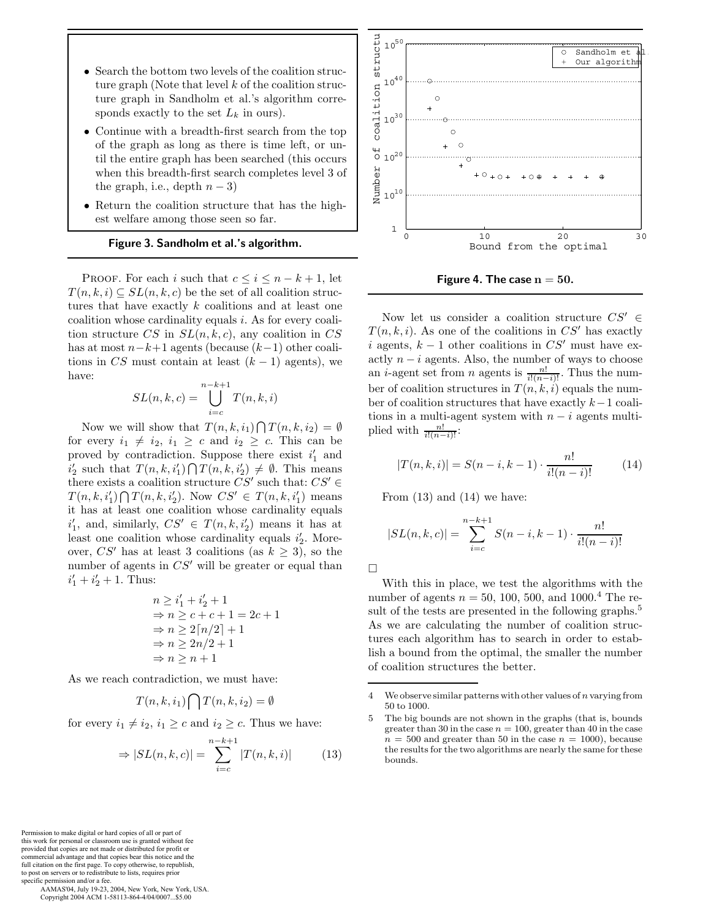- Search the bottom two levels of the coalition structure graph (Note that level  $k$  of the coalition structure graph in Sandholm et al.'s algorithm corresponds exactly to the set  $L_k$  in ours).
- Continue with a breadth-first search from the top of the graph as long as there is time left, or until the entire graph has been searched (this occurs when this breadth-first search completes level 3 of the graph, i.e., depth  $n-3$ )
- Return the coalition structure that has the highest welfare among those seen so far.

#### **Figure 3. Sandholm et al.'s algorithm.**

PROOF. For each i such that  $c \leq i \leq n-k+1$ , let  $T(n, k, i) \subseteq SL(n, k, c)$  be the set of all coalition structures that have exactly  $k$  coalitions and at least one coalition whose cardinality equals i. As for every coalition structure CS in  $SL(n, k, c)$ , any coalition in CS has at most  $n-k+1$  agents (because  $(k-1)$  other coalitions in CS must contain at least  $(k-1)$  agents), we have:

$$
SL(n,k,c) = \bigcup_{i=c}^{n-k+1} T(n,k,i)
$$

Now we will show that  $T(n, k, i_1) \bigcap T(n, k, i_2) = \emptyset$ for every  $i_1 \neq i_2$ ,  $i_1 \geq c$  and  $i_2 \geq c$ . This can be proved by contradiction. Suppose there exist  $i'_1$  and  $i'_2$  such that  $T(n, k, i'_1) \bigcap T(n, k, i'_2) \neq \emptyset$ . This means there exists a coalition structure  $CS'$  such that:  $CS' \in$  $T(n, k, i'_1) \bigcap T(n, k, i'_2)$ . Now  $CS' \in T(n, k, i'_1)$  means it has at least one coalition whose cardinality equals  $i'_1$ , and, similarly,  $CS' \in T(n, k, i'_2)$  means it has at least one coalition whose cardinality equals  $i'_2$ . Moreover, CS' has at least 3 coalitions (as  $k \geq 3$ ), so the number of agents in  $CS'$  will be greater or equal than  $i'_1 + i'_2 + 1$ . Thus:

$$
n \geq i'_1 + i'_2 + 1
$$
  
\n
$$
\Rightarrow n \geq c + c + 1 = 2c + 1
$$
  
\n
$$
\Rightarrow n \geq 2\lceil n/2 \rceil + 1
$$
  
\n
$$
\Rightarrow n \geq 2n/2 + 1
$$
  
\n
$$
\Rightarrow n \geq n + 1
$$

As we reach contradiction, we must have:

$$
T(n,k,i_1) \bigcap T(n,k,i_2) = \emptyset
$$

for every  $i_1 \neq i_2$ ,  $i_1 \geq c$  and  $i_2 \geq c$ . Thus we have:

$$
\Rightarrow |SL(n,k,c)| = \sum_{i=c}^{n-k+1} |T(n,k,i)| \qquad (13)
$$



**Figure 4. The case**  $n = 50$ **.** 

Now let us consider a coalition structure  $CS' \in$  $T(n, k, i)$ . As one of the coalitions in  $CS'$  has exactly i agents,  $k - 1$  other coalitions in  $CS'$  must have exactly  $n - i$  agents. Also, the number of ways to choose an *i*-agent set from *n* agents is  $\frac{n!}{i!(n-i)!}$ . Thus the number of coalition structures in  $T(n, k, i)$  equals the number of coalition structures that have exactly k−1 coalitions in a multi-agent system with  $n - i$  agents multiplied with  $\frac{n!}{i!(n-i)!}$ :

$$
|T(n,k,i)| = S(n-i,k-1) \cdot \frac{n!}{i!(n-i)!}
$$
 (14)

From  $(13)$  and  $(14)$  we have:

$$
|SL(n,k,c)| = \sum_{i=c}^{n-k+1} S(n-i,k-1) \cdot \frac{n!}{i!(n-i)!}
$$

With this in place, we test the algorithms with the number of agents  $n = 50, 100, 500,$  and  $1000.<sup>4</sup>$  The result of the tests are presented in the following graphs.<sup>5</sup> As we are calculating the number of coalition structures each algorithm has to search in order to establish a bound from the optimal, the smaller the number of coalition structures the better.

Permission to make digital or hard copies of all or part of this work for personal or classroom use is granted without fee provided that copies are not made or distributed for profit or commercial advantage and that copies bear this notice and the full citation on the first page. To copy otherwise, to republish, to post on servers or to redistribute to lists, requires prior specific permission and/or a fee.

<sup>4</sup> We observe similar patterns with other values of *n* varying from 50 to 1000.

<sup>5</sup> The big bounds are not shown in the graphs (that is, bounds greater than 30 in the case  $n = 100$ , greater than 40 in the case  $n = 500$  and greater than 50 in the case  $n = 1000$ , because the results for the two algorithms are nearly the same for these bounds.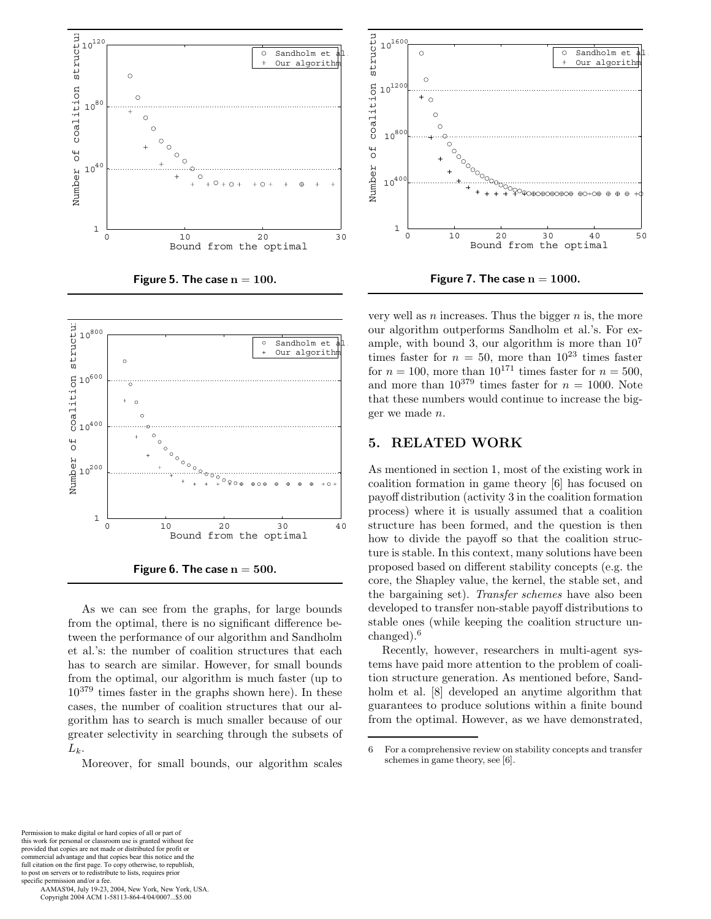

**Figure 5. The case n** <sup>=</sup> **100.**



**Figure 6. The case**  $n = 500$ **.** 

As we can see from the graphs, for large bounds from the optimal, there is no significant difference between the performance of our algorithm and Sandholm et al.'s: the number of coalition structures that each has to search are similar. However, for small bounds from the optimal, our algorithm is much faster (up to 10<sup>379</sup> times faster in the graphs shown here). In these cases, the number of coalition structures that our algorithm has to search is much smaller because of our greater selectivity in searching through the subsets of  $L_k$ .

Moreover, for small bounds, our algorithm scales



very well as  $n$  increases. Thus the bigger  $n$  is, the more our algorithm outperforms Sandholm et al.'s. For example, with bound 3, our algorithm is more than  $10<sup>7</sup>$ times faster for  $n = 50$ , more than  $10^{23}$  times faster for  $n = 100$ , more than  $10^{171}$  times faster for  $n = 500$ . and more than  $10^{379}$  times faster for  $n = 1000$ . Note that these numbers would continue to increase the bigger we made n.

## **5. RELATED WORK**

As mentioned in section 1, most of the existing work in coalition formation in game theory [6] has focused on payoff distribution (activity 3 in the coalition formation process) where it is usually assumed that a coalition structure has been formed, and the question is then how to divide the payoff so that the coalition structure is stable. In this context, many solutions have been proposed based on different stability concepts (e.g. the core, the Shapley value, the kernel, the stable set, and the bargaining set). *Transfer schemes* have also been developed to transfer non-stable payoff distributions to stable ones (while keeping the coalition structure unchanged).<sup>6</sup>

Recently, however, researchers in multi-agent systems have paid more attention to the problem of coalition structure generation. As mentioned before, Sandholm et al. [8] developed an anytime algorithm that guarantees to produce solutions within a finite bound from the optimal. However, as we have demonstrated,

<sup>6</sup> For a comprehensive review on stability concepts and transfer schemes in game theory, see [6].

Permission to make digital or hard copies of all or part of this work for personal or classroom use is granted without fee provided that copies are not made or distributed for profit or commercial advantage and that copies bear this notice and the full citation on the first page. To copy otherwise, to republish, to post on servers or to redistribute to lists, requires prior specific permission and/or a fee.